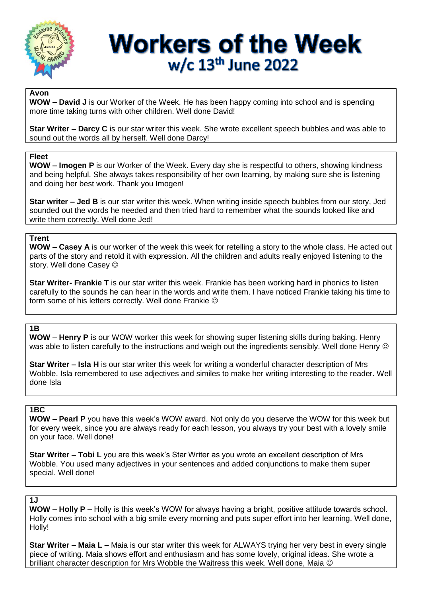

# **Workers of the Week** w/c 13<sup>th</sup> June 2022

### **Avon**

**WOW – David J** is our Worker of the Week. He has been happy coming into school and is spending more time taking turns with other children. Well done David!

**Star Writer – Darcy C** is our star writer this week. She wrote excellent speech bubbles and was able to sound out the words all by herself. Well done Darcy!

#### **Fleet**

**WOW – Imogen P** is our Worker of the Week. Every day she is respectful to others, showing kindness and being helpful. She always takes responsibility of her own learning, by making sure she is listening and doing her best work. Thank you Imogen!

**Star writer – Jed B** is our star writer this week. When writing inside speech bubbles from our story, Jed sounded out the words he needed and then tried hard to remember what the sounds looked like and write them correctly. Well done Jed!

## **Trent**

**WOW – Casey A** is our worker of the week this week for retelling a story to the whole class. He acted out parts of the story and retold it with expression. All the children and adults really enjoyed listening to the story. Well done Casey  $\odot$ 

**Star Writer- Frankie T** is our star writer this week. Frankie has been working hard in phonics to listen carefully to the sounds he can hear in the words and write them. I have noticed Frankie taking his time to form some of his letters correctly. Well done Frankie

#### **1B**

**WOW** – **Henry P** is our WOW worker this week for showing super listening skills during baking. Henry was able to listen carefully to the instructions and weigh out the ingredients sensibly. Well done Henry  $\odot$ 

**Star Writer – Isla H** is our star writer this week for writing a wonderful character description of Mrs Wobble. Isla remembered to use adjectives and similes to make her writing interesting to the reader. Well done Isla

## **1BC**

**WOW – Pearl P** you have this week's WOW award. Not only do you deserve the WOW for this week but for every week, since you are always ready for each lesson, you always try your best with a lovely smile on your face. Well done!

**Star Writer – Tobi L** you are this week's Star Writer as you wrote an excellent description of Mrs Wobble. You used many adjectives in your sentences and added conjunctions to make them super special. Well done!

#### **1J**

**WOW – Holly P –** Holly is this week's WOW for always having a bright, positive attitude towards school. Holly comes into school with a big smile every morning and puts super effort into her learning. Well done, Holly!

**Star Writer – Maia L –** Maia is our star writer this week for ALWAYS trying her very best in every single piece of writing. Maia shows effort and enthusiasm and has some lovely, original ideas. She wrote a brilliant character description for Mrs Wobble the Waitress this week. Well done, Maia